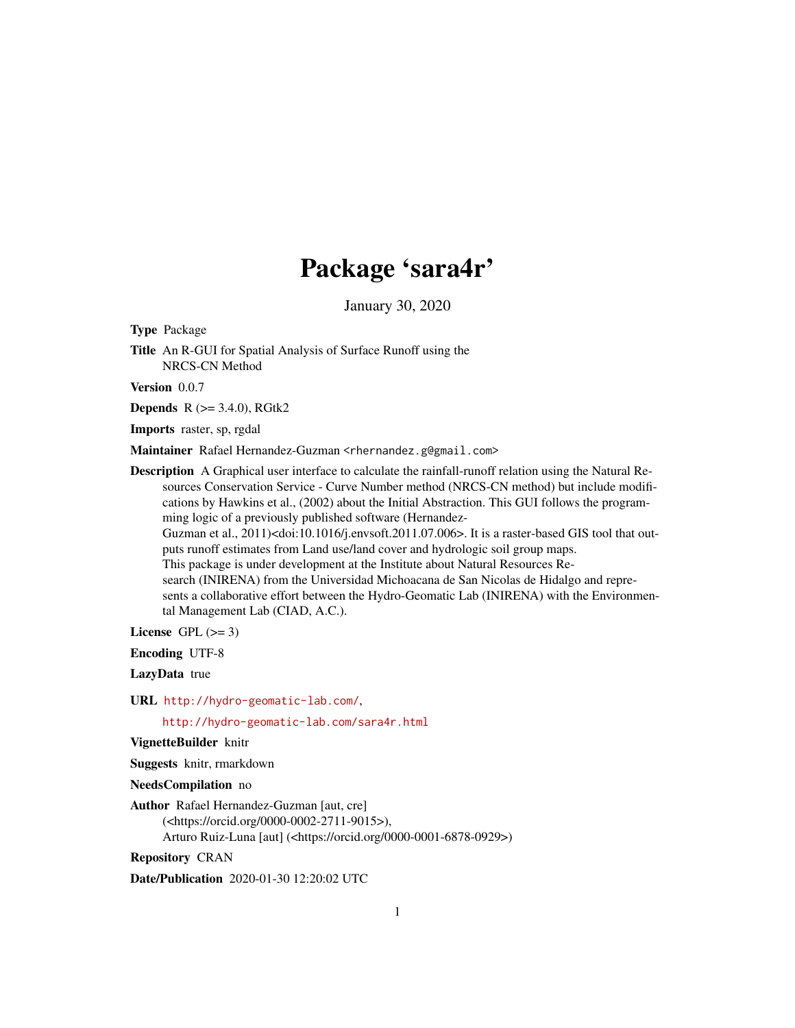# Package 'sara4r'

January 30, 2020

Type Package

Title An R-GUI for Spatial Analysis of Surface Runoff using the NRCS-CN Method

Version 0.0.7

**Depends** R  $(>= 3.4.0)$ , RGtk2

Imports raster, sp, rgdal

Maintainer Rafael Hernandez-Guzman <rhernandez.g@gmail.com>

Description A Graphical user interface to calculate the rainfall-runoff relation using the Natural Resources Conservation Service - Curve Number method (NRCS-CN method) but include modifications by Hawkins et al., (2002) about the Initial Abstraction. This GUI follows the programming logic of a previously published software (Hernandez-Guzman et al., 2011)<doi:10.1016/j.envsoft.2011.07.006>. It is a raster-based GIS tool that outputs runoff estimates from Land use/land cover and hydrologic soil group maps. This package is under development at the Institute about Natural Resources Research (INIRENA) from the Universidad Michoacana de San Nicolas de Hidalgo and represents a collaborative effort between the Hydro-Geomatic Lab (INIRENA) with the Environmental Management Lab (CIAD, A.C.).

License GPL  $(>= 3)$ 

Encoding UTF-8

LazyData true

URL <http://hydro-geomatic-lab.com/>,

<http://hydro-geomatic-lab.com/sara4r.html>

VignetteBuilder knitr

Suggests knitr, rmarkdown

NeedsCompilation no

Author Rafael Hernandez-Guzman [aut, cre] (<https://orcid.org/0000-0002-2711-9015>), Arturo Ruiz-Luna [aut] (<https://orcid.org/0000-0001-6878-0929>)

Repository CRAN

Date/Publication 2020-01-30 12:20:02 UTC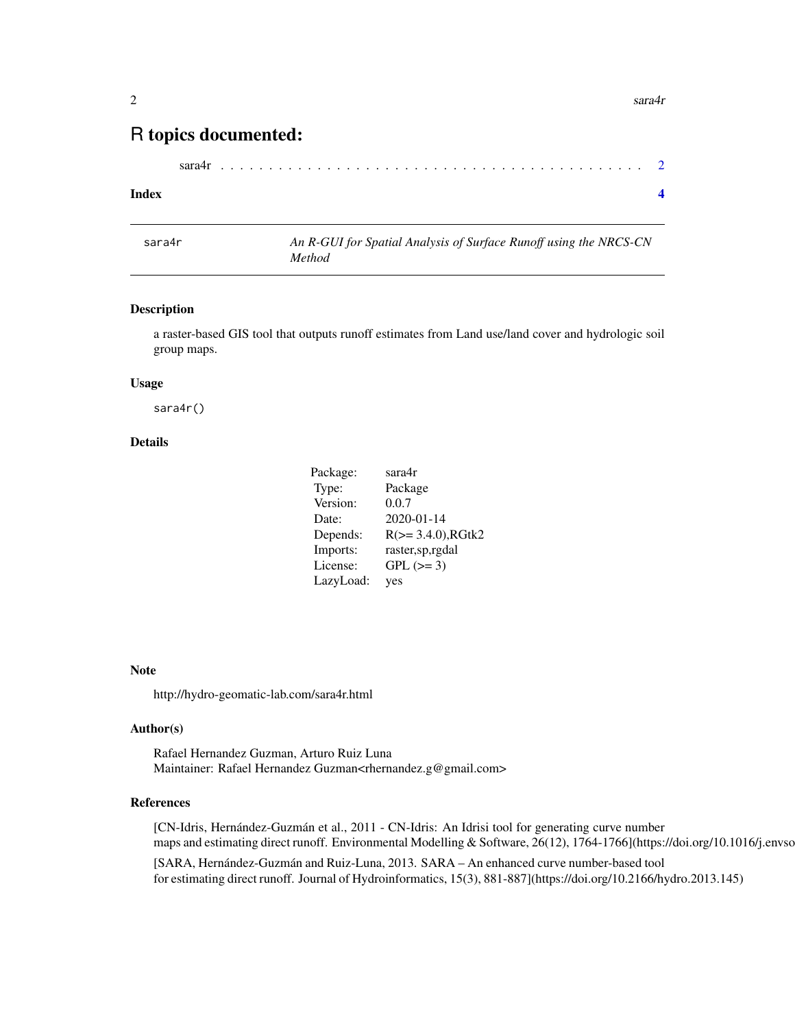## <span id="page-1-0"></span>R topics documented:

| sara4r |  |  |  |  |  |  |  |  |  |  |  |  |  |  |  |  |  |  |  |  |  |  |  |  |  |  |  |  |  |  |  |  |  |  |  |  |  |  |  |  |  |  |  |  |  |
|--------|--|--|--|--|--|--|--|--|--|--|--|--|--|--|--|--|--|--|--|--|--|--|--|--|--|--|--|--|--|--|--|--|--|--|--|--|--|--|--|--|--|--|--|--|--|
|--------|--|--|--|--|--|--|--|--|--|--|--|--|--|--|--|--|--|--|--|--|--|--|--|--|--|--|--|--|--|--|--|--|--|--|--|--|--|--|--|--|--|--|--|--|--|

#### **Index** [4](#page-3-0)

| sara4r | An R-GUI for Spatial Analysis of Surface Runoff using the NRCS-CN |
|--------|-------------------------------------------------------------------|
|        | Method                                                            |

#### Description

a raster-based GIS tool that outputs runoff estimates from Land use/land cover and hydrologic soil group maps.

#### Usage

sara4r()

#### Details

| Package:  | sara4r                     |
|-----------|----------------------------|
| Type:     | Package                    |
| Version:  | 0.0.7                      |
| Date:     | 2020-01-14                 |
| Depends:  | $R$ ( $> = 3.4.0$ ), RGtk2 |
| Imports:  | raster, sp, rgdal          |
| License:  | $GPL (= 3)$                |
| LazyLoad: | yes                        |

#### Note

http://hydro-geomatic-lab.com/sara4r.html

#### Author(s)

Rafael Hernandez Guzman, Arturo Ruiz Luna Maintainer: Rafael Hernandez Guzman<rhernandez.g@gmail.com>

#### References

[CN-Idris, Hernández-Guzmán et al., 2011 - CN-Idris: An Idrisi tool for generating curve number maps and estimating direct runoff. Environmental Modelling & Software, 26(12), 1764-1766](https://doi.org/10.1016/j.envso [SARA, Hernández-Guzmán and Ruiz-Luna, 2013. SARA – An enhanced curve number-based tool for estimating direct runoff. Journal of Hydroinformatics, 15(3), 881-887](https://doi.org/10.2166/hydro.2013.145)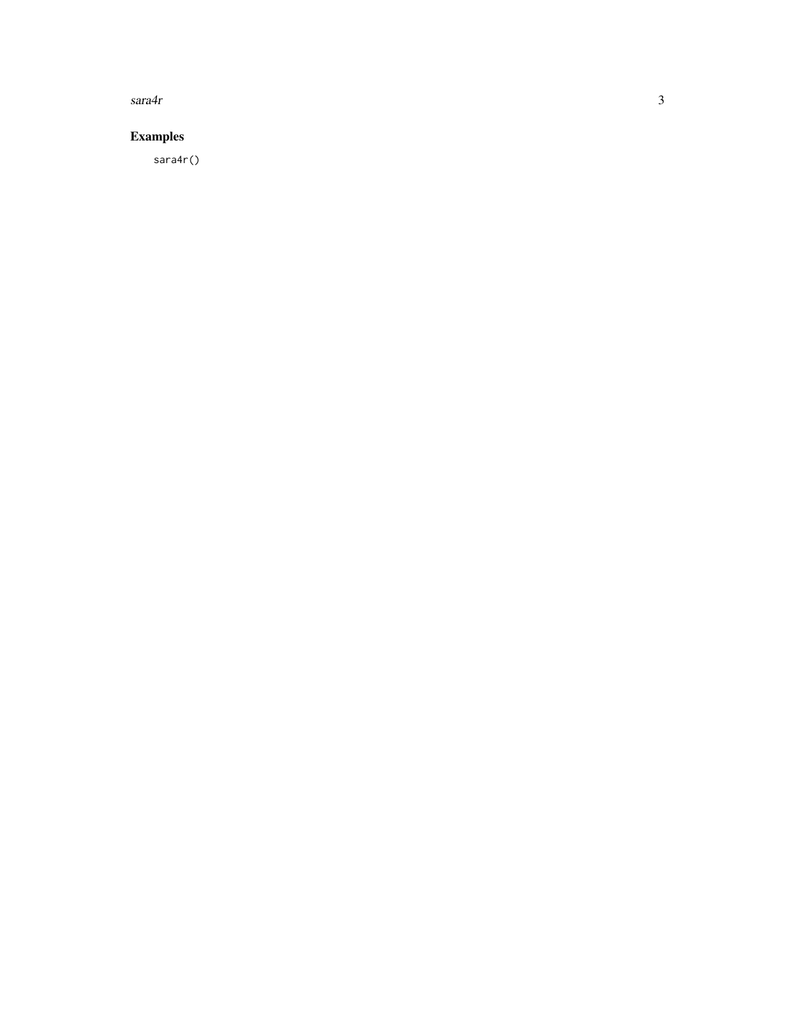$\ensuremath{\textit{sar}}\xspace\ensuremath{\textit{a}}\xspace\ensuremath{\textit{4r}}\xspace$ 

### **Examples**

 $sara4r()$